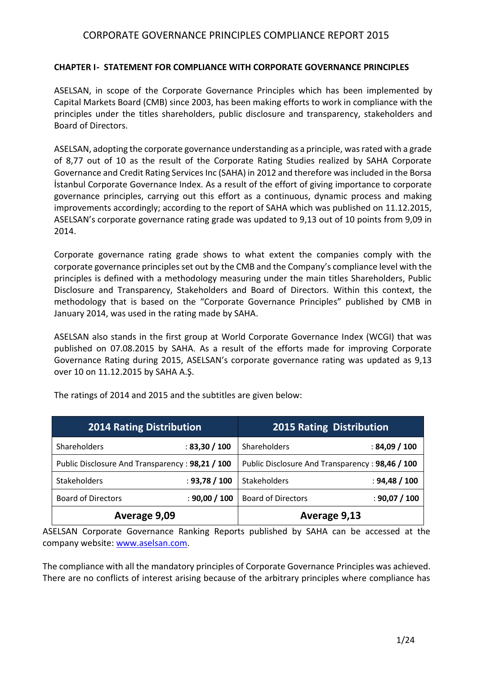### **CHAPTER I- STATEMENT FOR COMPLIANCE WITH CORPORATE GOVERNANCE PRINCIPLES**

ASELSAN, in scope of the Corporate Governance Principles which has been implemented by Capital Markets Board (CMB) since 2003, has been making efforts to work in compliance with the principles under the titles shareholders, public disclosure and transparency, stakeholders and Board of Directors.

ASELSAN, adopting the corporate governance understanding as a principle, was rated with a grade of 8,77 out of 10 as the result of the Corporate Rating Studies realized by SAHA Corporate Governance and Credit Rating Services Inc (SAHA) in 2012 and therefore was included in the Borsa İstanbul Corporate Governance Index. As a result of the effort of giving importance to corporate governance principles, carrying out this effort as a continuous, dynamic process and making improvements accordingly; according to the report of SAHA which was published on 11.12.2015, ASELSAN's corporate governance rating grade was updated to 9,13 out of 10 points from 9,09 in 2014.

Corporate governance rating grade shows to what extent the companies comply with the corporate governance principles set out by the CMB and the Company's compliance level with the principles is defined with a methodology measuring under the main titles Shareholders, Public Disclosure and Transparency, Stakeholders and Board of Directors. Within this context, the methodology that is based on the "Corporate Governance Principles" published by CMB in January 2014, was used in the rating made by SAHA.

ASELSAN also stands in the first group at World Corporate Governance Index (WCGI) that was published on 07.08.2015 by SAHA. As a result of the efforts made for improving Corporate Governance Rating during 2015, ASELSAN's corporate governance rating was updated as 9,13 over 10 on 11.12.2015 by SAHA A.Ş.

| <b>2014 Rating Distribution</b>                 |               | <b>2015 Rating Distribution</b>                 |               |
|-------------------------------------------------|---------------|-------------------------------------------------|---------------|
| Shareholders                                    | : 83,30 / 100 | Shareholders                                    | : 84,09 / 100 |
| Public Disclosure And Transparency: 98,21 / 100 |               | Public Disclosure And Transparency: 98,46 / 100 |               |
| <b>Stakeholders</b>                             | : 93,78 / 100 | Stakeholders                                    | : 94,48 / 100 |
| <b>Board of Directors</b>                       | : 90,00 / 100 | <b>Board of Directors</b>                       | : 90,07 / 100 |
| Average 9,09                                    |               | Average 9,13                                    |               |

The ratings of 2014 and 2015 and the subtitles are given below:

ASELSAN Corporate Governance Ranking Reports published by SAHA can be accessed at the company website: [www.aselsan.com.](http://www.aselsan.com/)

The compliance with all the mandatory principles of Corporate Governance Principles was achieved. There are no conflicts of interest arising because of the arbitrary principles where compliance has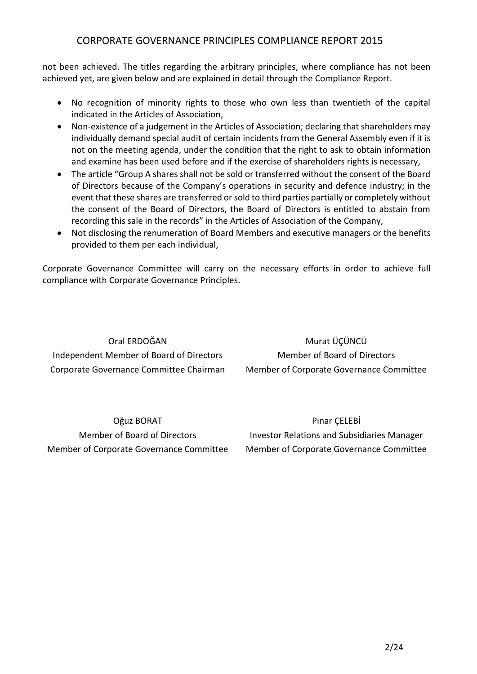not been achieved. The titles regarding the arbitrary principles, where compliance has not been achieved yet, are given below and are explained in detail through the Compliance Report.

- No recognition of minority rights to those who own less than twentieth of the capital indicated in the Articles of Association,
- Non-existence of a judgement in the Articles of Association; declaring that shareholders may individually demand special audit of certain incidents from the General Assembly even if it is not on the meeting agenda, under the condition that the right to ask to obtain information and examine has been used before and if the exercise of shareholders rights is necessary,
- The article "Group A shares shall not be sold or transferred without the consent of the Board of Directors because of the Company's operations in security and defence industry; in the event that these shares are transferred or sold to third parties partially or completely without the consent of the Board of Directors, the Board of Directors is entitled to abstain from recording this sale in the records" in the Articles of Association of the Company,
- Not disclosing the renumeration of Board Members and executive managers or the benefits provided to them per each individual,

Corporate Governance Committee will carry on the necessary efforts in order to achieve full compliance with Corporate Governance Principles.

Oral ERDOĞAN Independent Member of Board of Directors Corporate Governance Committee Chairman

Murat ÜÇÜNCÜ Member of Board of Directors Member of Corporate Governance Committee

Oğuz BORAT Member of Board of Directors Member of Corporate Governance Committee

Pınar ÇELEBİ Investor Relations and Subsidiaries Manager Member of Corporate Governance Committee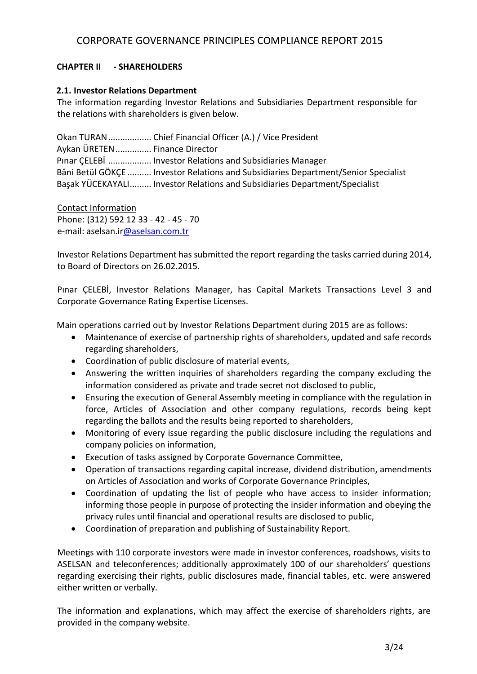## **CHAPTER II - SHAREHOLDERS**

### **2.1. Investor Relations Department**

The information regarding Investor Relations and Subsidiaries Department responsible for the relations with shareholders is given below.

Okan TURAN.................. Chief Financial Officer (A.) / Vice President Aykan ÜRETEN............... Finance Director Pınar ÇELEBİ .................. Investor Relations and Subsidiaries Manager Bâni Betül GÖKÇE .......... Investor Relations and Subsidiaries Department/Senior Specialist Başak YÜCEKAYALI......... Investor Relations and Subsidiaries Department/Specialist

Contact Information Phone: (312) 592 12 33 - 42 - 45 - 70 e-mail: aselsan.i[r@aselsan.com.tr](mailto:o@aselsan.com.tr)

Investor Relations Department has submitted the report regarding the tasks carried during 2014, to Board of Directors on 26.02.2015.

Pınar ÇELEBİ, Investor Relations Manager, has Capital Markets Transactions Level 3 and Corporate Governance Rating Expertise Licenses.

Main operations carried out by Investor Relations Department during 2015 are as follows:

- Maintenance of exercise of partnership rights of shareholders, updated and safe records regarding shareholders,
- Coordination of public disclosure of material events,
- Answering the written inquiries of shareholders regarding the company excluding the information considered as private and trade secret not disclosed to public,
- Ensuring the execution of General Assembly meeting in compliance with the regulation in force, Articles of Association and other company regulations, records being kept regarding the ballots and the results being reported to shareholders,
- Monitoring of every issue regarding the public disclosure including the regulations and company policies on information,
- Execution of tasks assigned by Corporate Governance Committee,
- Operation of transactions regarding capital increase, dividend distribution, amendments on Articles of Association and works of Corporate Governance Principles,
- Coordination of updating the list of people who have access to insider information; informing those people in purpose of protecting the insider information and obeying the privacy rules until financial and operational results are disclosed to public,
- Coordination of preparation and publishing of Sustainability Report.

Meetings with 110 corporate investors were made in investor conferences, roadshows, visits to ASELSAN and teleconferences; additionally approximately 100 of our shareholders' questions regarding exercising their rights, public disclosures made, financial tables, etc. were answered either written or verbally.

The information and explanations, which may affect the exercise of shareholders rights, are provided in the company website.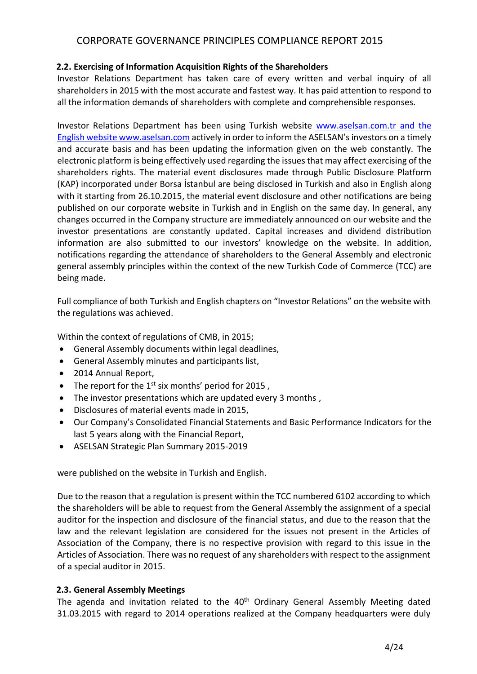## **2.2. Exercising of Information Acquisition Rights of the Shareholders**

Investor Relations Department has taken care of every written and verbal inquiry of all shareholders in 2015 with the most accurate and fastest way. It has paid attention to respond to all the information demands of shareholders with complete and comprehensible responses.

Investor Relations Department has been using Turkish website [www.aselsan.com.tr](http://www.aselsan.com.tr/) and the English website www.aselsan.com actively in order to inform the ASELSAN's investors on a timely and accurate basis and has been updating the information given on the web constantly. The electronic platform is being effectively used regarding the issues that may affect exercising of the shareholders rights. The material event disclosures made through Public Disclosure Platform (KAP) incorporated under Borsa İstanbul are being disclosed in Turkish and also in English along with it starting from 26.10.2015, the material event disclosure and other notifications are being published on our corporate website in Turkish and in English on the same day. In general, any changes occurred in the Company structure are immediately announced on our website and the investor presentations are constantly updated. Capital increases and dividend distribution information are also submitted to our investors' knowledge on the website. In addition, notifications regarding the attendance of shareholders to the General Assembly and electronic general assembly principles within the context of the new Turkish Code of Commerce (TCC) are being made.

Full compliance of both Turkish and English chapters on "Investor Relations" on the website with the regulations was achieved.

Within the context of regulations of CMB, in 2015;

- General Assembly documents within legal deadlines,
- General Assembly minutes and participants list,
- 2014 Annual Report,
- The report for the  $1^{st}$  six months' period for 2015,
- The investor presentations which are updated every 3 months,
- Disclosures of material events made in 2015,
- Our Company's Consolidated Financial Statements and Basic Performance Indicators for the last 5 years along with the Financial Report,
- ASELSAN Strategic Plan Summary 2015-2019

were published on the website in Turkish and English.

Due to the reason that a regulation is present within the TCC numbered 6102 according to which the shareholders will be able to request from the General Assembly the assignment of a special auditor for the inspection and disclosure of the financial status, and due to the reason that the law and the relevant legislation are considered for the issues not present in the Articles of Association of the Company, there is no respective provision with regard to this issue in the Articles of Association. There was no request of any shareholders with respect to the assignment of a special auditor in 2015.

## **2.3. General Assembly Meetings**

The agenda and invitation related to the 40<sup>th</sup> Ordinary General Assembly Meeting dated 31.03.2015 with regard to 2014 operations realized at the Company headquarters were duly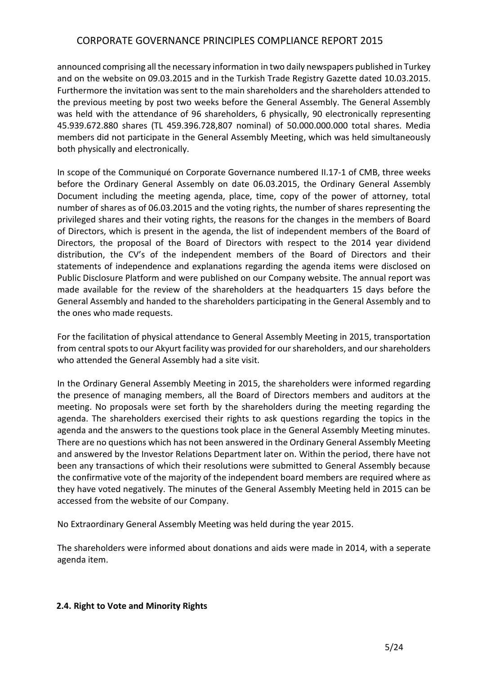announced comprising all the necessary information in two daily newspapers published in Turkey and on the website on 09.03.2015 and in the Turkish Trade Registry Gazette dated 10.03.2015. Furthermore the invitation was sent to the main shareholders and the shareholders attended to the previous meeting by post two weeks before the General Assembly. The General Assembly was held with the attendance of 96 shareholders, 6 physically, 90 electronically representing 45.939.672.880 shares (TL 459.396.728,807 nominal) of 50.000.000.000 total shares. Media members did not participate in the General Assembly Meeting, which was held simultaneously both physically and electronically.

In scope of the Communiqué on Corporate Governance numbered II.17-1 of CMB, three weeks before the Ordinary General Assembly on date 06.03.2015, the Ordinary General Assembly Document including the meeting agenda, place, time, copy of the power of attorney, total number of shares as of 06.03.2015 and the voting rights, the number of shares representing the privileged shares and their voting rights, the reasons for the changes in the members of Board of Directors, which is present in the agenda, the list of independent members of the Board of Directors, the proposal of the Board of Directors with respect to the 2014 year dividend distribution, the CV's of the independent members of the Board of Directors and their statements of independence and explanations regarding the agenda items were disclosed on Public Disclosure Platform and were published on our Company website. The annual report was made available for the review of the shareholders at the headquarters 15 days before the General Assembly and handed to the shareholders participating in the General Assembly and to the ones who made requests.

For the facilitation of physical attendance to General Assembly Meeting in 2015, transportation from central spots to our Akyurt facility was provided for our shareholders, and our shareholders who attended the General Assembly had a site visit.

In the Ordinary General Assembly Meeting in 2015, the shareholders were informed regarding the presence of managing members, all the Board of Directors members and auditors at the meeting. No proposals were set forth by the shareholders during the meeting regarding the agenda. The shareholders exercised their rights to ask questions regarding the topics in the agenda and the answers to the questions took place in the General Assembly Meeting minutes. There are no questions which has not been answered in the Ordinary General Assembly Meeting and answered by the Investor Relations Department later on. Within the period, there have not been any transactions of which their resolutions were submitted to General Assembly because the confirmative vote of the majority of the independent board members are required where as they have voted negatively. The minutes of the General Assembly Meeting held in 2015 can be accessed from the website of our Company.

No Extraordinary General Assembly Meeting was held during the year 2015.

The shareholders were informed about donations and aids were made in 2014, with a seperate agenda item.

### **2.4. Right to Vote and Minority Rights**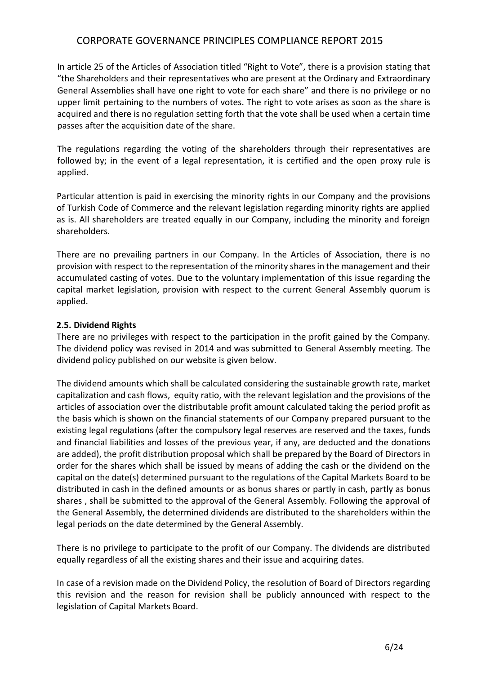In article 25 of the Articles of Association titled "Right to Vote", there is a provision stating that "the Shareholders and their representatives who are present at the Ordinary and Extraordinary General Assemblies shall have one right to vote for each share" and there is no privilege or no upper limit pertaining to the numbers of votes. The right to vote arises as soon as the share is acquired and there is no regulation setting forth that the vote shall be used when a certain time passes after the acquisition date of the share.

The regulations regarding the voting of the shareholders through their representatives are followed by; in the event of a legal representation, it is certified and the open proxy rule is applied.

Particular attention is paid in exercising the minority rights in our Company and the provisions of Turkish Code of Commerce and the relevant legislation regarding minority rights are applied as is. All shareholders are treated equally in our Company, including the minority and foreign shareholders.

There are no prevailing partners in our Company. In the Articles of Association, there is no provision with respect to the representation of the minority shares in the management and their accumulated casting of votes. Due to the voluntary implementation of this issue regarding the capital market legislation, provision with respect to the current General Assembly quorum is applied.

### **2.5. Dividend Rights**

There are no privileges with respect to the participation in the profit gained by the Company. The dividend policy was revised in 2014 and was submitted to General Assembly meeting. The dividend policy published on our website is given below.

The dividend amounts which shall be calculated considering the sustainable growth rate, market capitalization and cash flows, equity ratio, with the relevant legislation and the provisions of the articles of association over the distributable profit amount calculated taking the period profit as the basis which is shown on the financial statements of our Company prepared pursuant to the existing legal regulations (after the compulsory legal reserves are reserved and the taxes, funds and financial liabilities and losses of the previous year, if any, are deducted and the donations are added), the profit distribution proposal which shall be prepared by the Board of Directors in order for the shares which shall be issued by means of adding the cash or the dividend on the capital on the date(s) determined pursuant to the regulations of the Capital Markets Board to be distributed in cash in the defined amounts or as bonus shares or partly in cash, partly as bonus shares , shall be submitted to the approval of the General Assembly. Following the approval of the General Assembly, the determined dividends are distributed to the shareholders within the legal periods on the date determined by the General Assembly.

There is no privilege to participate to the profit of our Company. The dividends are distributed equally regardless of all the existing shares and their issue and acquiring dates.

In case of a revision made on the Dividend Policy, the resolution of Board of Directors regarding this revision and the reason for revision shall be publicly announced with respect to the legislation of Capital Markets Board.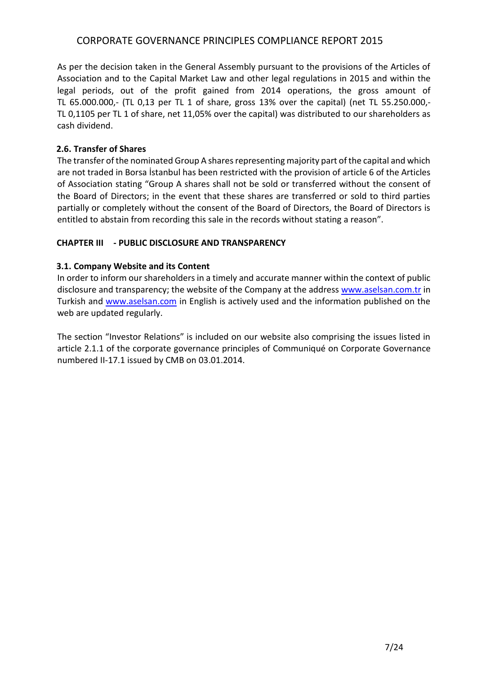As per the decision taken in the General Assembly pursuant to the provisions of the Articles of Association and to the Capital Market Law and other legal regulations in 2015 and within the legal periods, out of the profit gained from 2014 operations, the gross amount of TL 65.000.000,- (TL 0,13 per TL 1 of share, gross 13% over the capital) (net TL 55.250.000,- TL 0,1105 per TL 1 of share, net 11,05% over the capital) was distributed to our shareholders as cash dividend.

## **2.6. Transfer of Shares**

The transfer of the nominated Group A shares representing majority part of the capital and which are not traded in Borsa İstanbul has been restricted with the provision of article 6 of the Articles of Association stating "Group A shares shall not be sold or transferred without the consent of the Board of Directors; in the event that these shares are transferred or sold to third parties partially or completely without the consent of the Board of Directors, the Board of Directors is entitled to abstain from recording this sale in the records without stating a reason".

## **CHAPTER III - PUBLIC DISCLOSURE AND TRANSPARENCY**

## **3.1. Company Website and its Content**

In order to inform our shareholders in a timely and accurate manner within the context of public disclosure and transparency; the website of the Company at the address [www.aselsan.com.tr](http://www.aselsan.com.tr/) in Turkish and [www.aselsan.com](http://www.aselsan.com/) in English is actively used and the information published on the web are updated regularly.

The section "Investor Relations" is included on our website also comprising the issues listed in article 2.1.1 of the corporate governance principles of Communiqué on Corporate Governance numbered II-17.1 issued by CMB on 03.01.2014.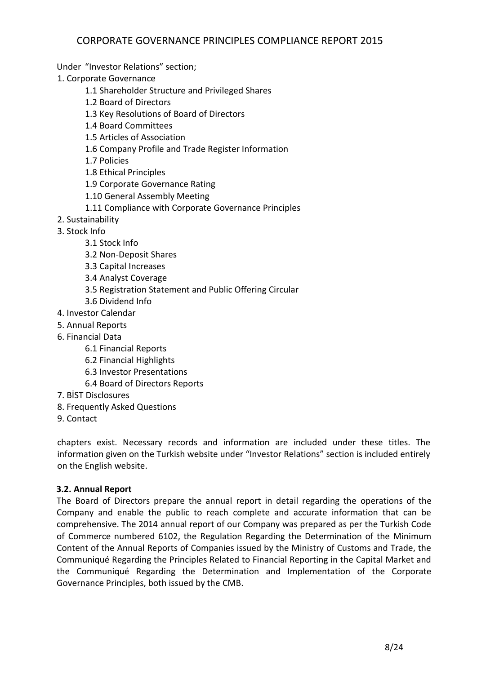Under "Investor Relations" section;

1. Corporate Governance

- 1.1 Shareholder Structure and Privileged Shares
- 1.2 Board of Directors
- 1.3 Key Resolutions of Board of Directors
- 1.4 Board Committees
- 1.5 Articles of Association
- 1.6 Company Profile and Trade Register Information
- 1.7 Policies
- 1.8 Ethical Principles
- 1.9 Corporate Governance Rating
- 1.10 General Assembly Meeting
- 1.11 Compliance with Corporate Governance Principles
- 2. Sustainability
- 3. Stock Info
	- 3.1 Stock Info
	- 3.2 Non-Deposit Shares
	- 3.3 Capital Increases
	- 3.4 Analyst Coverage
	- 3.5 Registration Statement and Public Offering Circular
	- 3.6 Dividend Info
- 4. Investor Calendar
- 5. Annual Reports
- 6. Financial Data
	- 6.1 Financial Reports
	- 6.2 Financial Highlights
	- 6.3 Investor Presentations
	- 6.4 Board of Directors Reports
- 7. BİST Disclosures
- 8. Frequently Asked Questions
- 9. Contact

chapters exist. Necessary records and information are included under these titles. The information given on the Turkish website under "Investor Relations" section is included entirely on the English website.

## **3.2. Annual Report**

The Board of Directors prepare the annual report in detail regarding the operations of the Company and enable the public to reach complete and accurate information that can be comprehensive. The 2014 annual report of our Company was prepared as per the Turkish Code of Commerce numbered 6102, the Regulation Regarding the Determination of the Minimum Content of the Annual Reports of Companies issued by the Ministry of Customs and Trade, the Communiqué Regarding the Principles Related to Financial Reporting in the Capital Market and the Communiqué Regarding the Determination and Implementation of the Corporate Governance Principles, both issued by the CMB.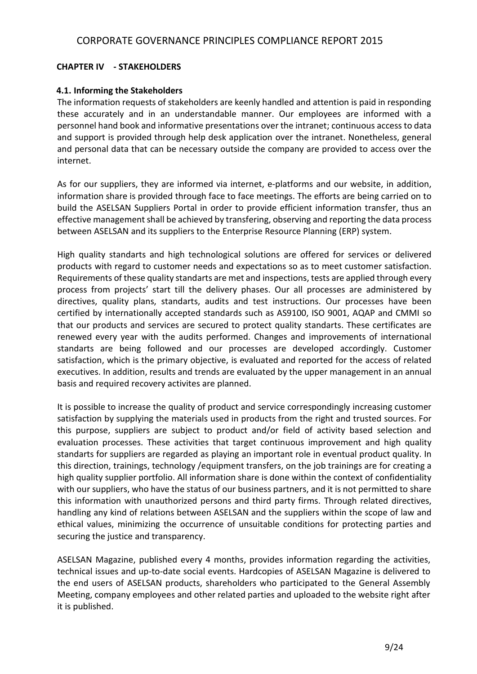## **CHAPTER IV - STAKEHOLDERS**

### **4.1. Informing the Stakeholders**

The information requests of stakeholders are keenly handled and attention is paid in responding these accurately and in an understandable manner. Our employees are informed with a personnel hand book and informative presentations over the intranet; continuous access to data and support is provided through help desk application over the intranet. Nonetheless, general and personal data that can be necessary outside the company are provided to access over the internet.

As for our suppliers, they are informed via internet, e-platforms and our website, in addition, information share is provided through face to face meetings. The efforts are being carried on to build the ASELSAN Suppliers Portal in order to provide efficient information transfer, thus an effective management shall be achieved by transfering, observing and reporting the data process between ASELSAN and its suppliers to the Enterprise Resource Planning (ERP) system.

High quality standarts and high technological solutions are offered for services or delivered products with regard to customer needs and expectations so as to meet customer satisfaction. Requirements of these quality standarts are met and inspections, tests are applied through every process from projects' start till the delivery phases. Our all processes are administered by directives, quality plans, standarts, audits and test instructions. Our processes have been certified by internationally accepted standards such as AS9100, ISO 9001, AQAP and CMMI so that our products and services are secured to protect quality standarts. These certificates are renewed every year with the audits performed. Changes and improvements of international standarts are being followed and our processes are developed accordingly. Customer satisfaction, which is the primary objective, is evaluated and reported for the access of related executives. In addition, results and trends are evaluated by the upper management in an annual basis and required recovery activites are planned.

It is possible to increase the quality of product and service correspondingly increasing customer satisfaction by supplying the materials used in products from the right and trusted sources. For this purpose, suppliers are subject to product and/or field of activity based selection and evaluation processes. These activities that target continuous improvement and high quality standarts for suppliers are regarded as playing an important role in eventual product quality. In this direction, trainings, technology /equipment transfers, on the job trainings are for creating a high quality supplier portfolio. All information share is done within the context of confidentiality with our suppliers, who have the status of our business partners, and it is not permitted to share this information with unauthorized persons and third party firms. Through related directives, handling any kind of relations between ASELSAN and the suppliers within the scope of law and ethical values, minimizing the occurrence of unsuitable conditions for protecting parties and securing the justice and transparency.

ASELSAN Magazine, published every 4 months, provides information regarding the activities, technical issues and up-to-date social events. Hardcopies of ASELSAN Magazine is delivered to the end users of ASELSAN products, shareholders who participated to the General Assembly Meeting, company employees and other related parties and uploaded to the website right after it is published.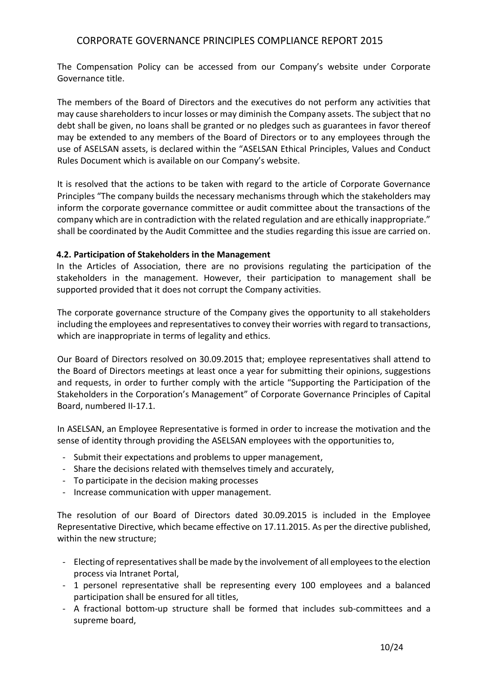The Compensation Policy can be accessed from our Company's website under Corporate Governance title.

The members of the Board of Directors and the executives do not perform any activities that may cause shareholders to incur losses or may diminish the Company assets. The subject that no debt shall be given, no loans shall be granted or no pledges such as guarantees in favor thereof may be extended to any members of the Board of Directors or to any employees through the use of ASELSAN assets, is declared within the "ASELSAN Ethical Principles, Values and Conduct Rules Document which is available on our Company's website.

It is resolved that the actions to be taken with regard to the article of Corporate Governance Principles "The company builds the necessary mechanisms through which the stakeholders may inform the corporate governance committee or audit committee about the transactions of the company which are in contradiction with the related regulation and are ethically inappropriate." shall be coordinated by the Audit Committee and the studies regarding this issue are carried on.

### **4.2. Participation of Stakeholders in the Management**

In the Articles of Association, there are no provisions regulating the participation of the stakeholders in the management. However, their participation to management shall be supported provided that it does not corrupt the Company activities.

The corporate governance structure of the Company gives the opportunity to all stakeholders including the employees and representatives to convey their worries with regard to transactions, which are inappropriate in terms of legality and ethics.

Our Board of Directors resolved on 30.09.2015 that; employee representatives shall attend to the Board of Directors meetings at least once a year for submitting their opinions, suggestions and requests, in order to further comply with the article "Supporting the Participation of the Stakeholders in the Corporation's Management" of Corporate Governance Principles of Capital Board, numbered II-17.1.

In ASELSAN, an Employee Representative is formed in order to increase the motivation and the sense of identity through providing the ASELSAN employees with the opportunities to,

- Submit their expectations and problems to upper management,
- Share the decisions related with themselves timely and accurately,
- To participate in the decision making processes
- Increase communication with upper management.

The resolution of our Board of Directors dated 30.09.2015 is included in the Employee Representative Directive, which became effective on 17.11.2015. As per the directive published, within the new structure;

- Electing of representatives shall be made by the involvement of all employees to the election process via Intranet Portal,
- 1 personel representative shall be representing every 100 employees and a balanced participation shall be ensured for all titles,
- A fractional bottom-up structure shall be formed that includes sub-committees and a supreme board,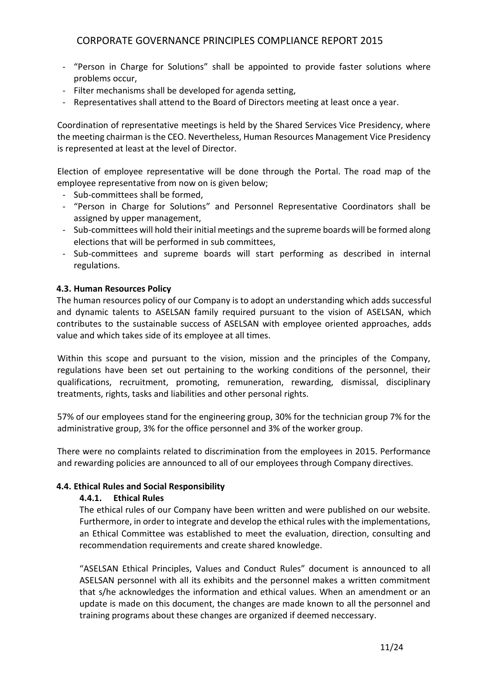- "Person in Charge for Solutions" shall be appointed to provide faster solutions where problems occur,
- Filter mechanisms shall be developed for agenda setting,
- Representatives shall attend to the Board of Directors meeting at least once a year.

Coordination of representative meetings is held by the Shared Services Vice Presidency, where the meeting chairman is the CEO. Nevertheless, Human Resources Management Vice Presidency is represented at least at the level of Director.

Election of employee representative will be done through the Portal. The road map of the employee representative from now on is given below;

- Sub-committees shall be formed,
- "Person in Charge for Solutions" and Personnel Representative Coordinators shall be assigned by upper management,
- Sub-committees will hold their initial meetings and the supreme boards will be formed along elections that will be performed in sub committees,
- Sub-committees and supreme boards will start performing as described in internal regulations.

## **4.3. Human Resources Policy**

The human resources policy of our Company is to adopt an understanding which adds successful and dynamic talents to ASELSAN family required pursuant to the vision of ASELSAN, which contributes to the sustainable success of ASELSAN with employee oriented approaches, adds value and which takes side of its employee at all times.

Within this scope and pursuant to the vision, mission and the principles of the Company, regulations have been set out pertaining to the working conditions of the personnel, their qualifications, recruitment, promoting, remuneration, rewarding, dismissal, disciplinary treatments, rights, tasks and liabilities and other personal rights.

57% of our employees stand for the engineering group, 30% for the technician group 7% for the administrative group, 3% for the office personnel and 3% of the worker group.

There were no complaints related to discrimination from the employees in 2015. Performance and rewarding policies are announced to all of our employees through Company directives.

## **4.4. Ethical Rules and Social Responsibility**

### **4.4.1. Ethical Rules**

The ethical rules of our Company have been written and were published on our website. Furthermore, in order to integrate and develop the ethical rules with the implementations, an Ethical Committee was established to meet the evaluation, direction, consulting and recommendation requirements and create shared knowledge.

"ASELSAN Ethical Principles, Values and Conduct Rules" document is announced to all ASELSAN personnel with all its exhibits and the personnel makes a written commitment that s/he acknowledges the information and ethical values. When an amendment or an update is made on this document, the changes are made known to all the personnel and training programs about these changes are organized if deemed neccessary.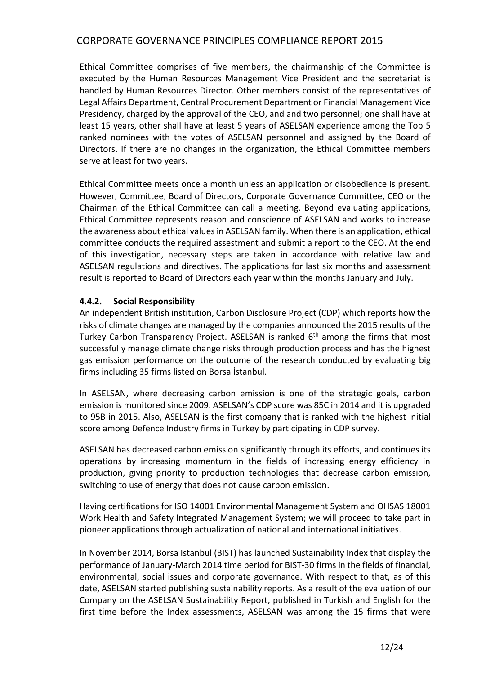Ethical Committee comprises of five members, the chairmanship of the Committee is executed by the Human Resources Management Vice President and the secretariat is handled by Human Resources Director. Other members consist of the representatives of Legal Affairs Department, Central Procurement Department or Financial Management Vice Presidency, charged by the approval of the CEO, and and two personnel; one shall have at least 15 years, other shall have at least 5 years of ASELSAN experience among the Top 5 ranked nominees with the votes of ASELSAN personnel and assigned by the Board of Directors. If there are no changes in the organization, the Ethical Committee members serve at least for two years.

Ethical Committee meets once a month unless an application or disobedience is present. However, Committee, Board of Directors, Corporate Governance Committee, CEO or the Chairman of the Ethical Committee can call a meeting. Beyond evaluating applications, Ethical Committee represents reason and conscience of ASELSAN and works to increase the awareness about ethical values in ASELSAN family. When there is an application, ethical committee conducts the required assestment and submit a report to the CEO. At the end of this investigation, necessary steps are taken in accordance with relative law and ASELSAN regulations and directives. The applications for last six months and assessment result is reported to Board of Directors each year within the months January and July.

### **4.4.2. Social Responsibility**

An independent British institution, Carbon Disclosure Project (CDP) which reports how the risks of climate changes are managed by the companies announced the 2015 results of the Turkey Carbon Transparency Project. ASELSAN is ranked  $6<sup>th</sup>$  among the firms that most successfully manage climate change risks through production process and has the highest gas emission performance on the outcome of the research conducted by evaluating big firms including 35 firms listed on Borsa İstanbul.

In ASELSAN, where decreasing carbon emission is one of the strategic goals, carbon emission is monitored since 2009. ASELSAN's CDP score was 85C in 2014 and it is upgraded to 95B in 2015. Also, ASELSAN is the first company that is ranked with the highest initial score among Defence Industry firms in Turkey by participating in CDP survey.

ASELSAN has decreased carbon emission significantly through its efforts, and continues its operations by increasing momentum in the fields of increasing energy efficiency in production, giving priority to production technologies that decrease carbon emission, switching to use of energy that does not cause carbon emission.

Having certifications for ISO 14001 Environmental Management System and OHSAS 18001 Work Health and Safety Integrated Management System; we will proceed to take part in pioneer applications through actualization of national and international initiatives.

In November 2014, Borsa Istanbul (BIST) has launched Sustainability Index that display the performance of January-March 2014 time period for BIST-30 firms in the fields of financial, environmental, social issues and corporate governance. With respect to that, as of this date, ASELSAN started publishing sustainability reports. As a result of the evaluation of our Company on the ASELSAN Sustainability Report, published in Turkish and English for the first time before the Index assessments, ASELSAN was among the 15 firms that were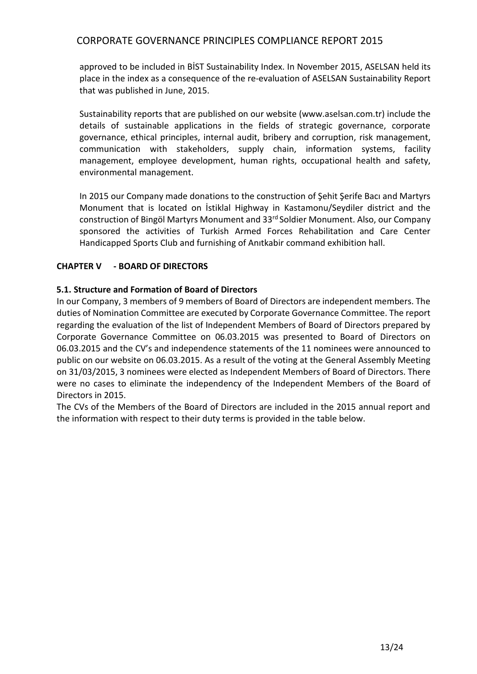approved to be included in BİST Sustainability Index. In November 2015, ASELSAN held its place in the index as a consequence of the re-evaluation of ASELSAN Sustainability Report that was published in June, 2015.

Sustainability reports that are published on our website (www.aselsan.com.tr) include the details of sustainable applications in the fields of strategic governance, corporate governance, ethical principles, internal audit, bribery and corruption, risk management, communication with stakeholders, supply chain, information systems, facility management, employee development, human rights, occupational health and safety, environmental management.

In 2015 our Company made donations to the construction of Şehit Şerife Bacı and Martyrs Monument that is located on İstiklal Highway in Kastamonu/Seydiler district and the construction of Bingöl Martyrs Monument and 33rd Soldier Monument. Also, our Company sponsored the activities of Turkish Armed Forces Rehabilitation and Care Center Handicapped Sports Club and furnishing of Anıtkabir command exhibition hall.

## **CHAPTER V - BOARD OF DIRECTORS**

## **5.1. Structure and Formation of Board of Directors**

In our Company, 3 members of 9 members of Board of Directors are independent members. The duties of Nomination Committee are executed by Corporate Governance Committee. The report regarding the evaluation of the list of Independent Members of Board of Directors prepared by Corporate Governance Committee on 06.03.2015 was presented to Board of Directors on 06.03.2015 and the CV's and independence statements of the 11 nominees were announced to public on our website on 06.03.2015. As a result of the voting at the General Assembly Meeting on 31/03/2015, 3 nominees were elected as Independent Members of Board of Directors. There were no cases to eliminate the independency of the Independent Members of the Board of Directors in 2015.

The CVs of the Members of the Board of Directors are included in the 2015 annual report and the information with respect to their duty terms is provided in the table below.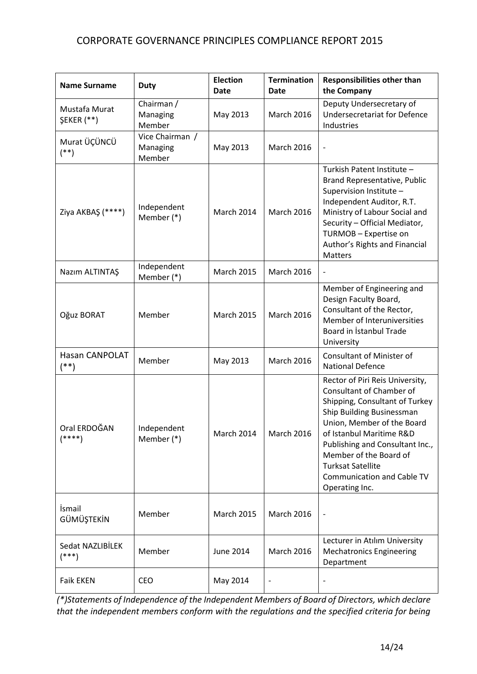| <b>Name Surname</b>                | <b>Duty</b>                           | <b>Election</b><br><b>Date</b> | <b>Termination</b><br>Date | <b>Responsibilities other than</b><br>the Company                                                                                                                                                                                                                                                                                    |
|------------------------------------|---------------------------------------|--------------------------------|----------------------------|--------------------------------------------------------------------------------------------------------------------------------------------------------------------------------------------------------------------------------------------------------------------------------------------------------------------------------------|
| Mustafa Murat<br><b>ŞEKER</b> (**) | Chairman /<br>Managing<br>Member      | May 2013                       | March 2016                 | Deputy Undersecretary of<br><b>Undersecretariat for Defence</b><br>Industries                                                                                                                                                                                                                                                        |
| Murat ÜÇÜNCÜ<br>$^{(*)}$           | Vice Chairman /<br>Managing<br>Member | May 2013                       | <b>March 2016</b>          | $\overline{\phantom{m}}$                                                                                                                                                                                                                                                                                                             |
| Ziya AKBAŞ (****)                  | Independent<br>Member (*)             | March 2014                     | <b>March 2016</b>          | Turkish Patent Institute -<br>Brand Representative, Public<br>Supervision Institute -<br>Independent Auditor, R.T.<br>Ministry of Labour Social and<br>Security - Official Mediator,<br>TURMOB - Expertise on<br>Author's Rights and Financial<br><b>Matters</b>                                                                     |
| Nazım ALTINTAŞ                     | Independent<br>Member (*)             | <b>March 2015</b>              | March 2016                 | $\qquad \qquad -$                                                                                                                                                                                                                                                                                                                    |
| Oğuz BORAT                         | Member                                | <b>March 2015</b>              | <b>March 2016</b>          | Member of Engineering and<br>Design Faculty Board,<br>Consultant of the Rector,<br>Member of Interuniversities<br>Board in Istanbul Trade<br>University                                                                                                                                                                              |
| <b>Hasan CANPOLAT</b><br>$^{(*)}$  | Member                                | May 2013                       | March 2016                 | <b>Consultant of Minister of</b><br><b>National Defence</b>                                                                                                                                                                                                                                                                          |
| Oral ERDOĞAN<br>(****)             | Independent<br>Member $(*)$           | March 2014                     | March 2016                 | Rector of Piri Reis University,<br>Consultant of Chamber of<br>Shipping, Consultant of Turkey<br>Ship Building Businessman<br>Union, Member of the Board<br>of Istanbul Maritime R&D<br>Publishing and Consultant Inc.,<br>Member of the Board of<br><b>Turksat Satellite</b><br><b>Communication and Cable TV</b><br>Operating Inc. |
| İsmail<br>GÜMÜŞTEKİN               | Member                                | <b>March 2015</b>              | <b>March 2016</b>          | $\qquad \qquad -$                                                                                                                                                                                                                                                                                                                    |
| Sedat NAZLIBİLEK<br>$^{***}$       | Member                                | June 2014                      | March 2016                 | Lecturer in Atılım University<br><b>Mechatronics Engineering</b><br>Department                                                                                                                                                                                                                                                       |
| <b>Faik EKEN</b>                   | <b>CEO</b>                            | May 2014                       |                            |                                                                                                                                                                                                                                                                                                                                      |

*(\*)Statements of Independence of the Independent Members of Board of Directors, which declare that the independent members conform with the regulations and the specified criteria for being*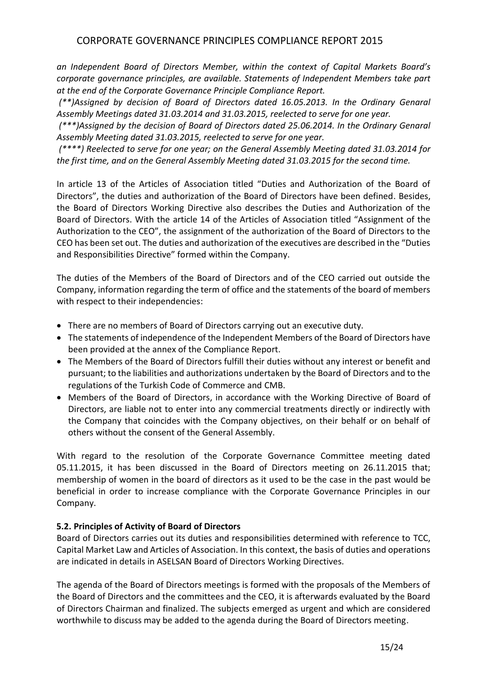*an Independent Board of Directors Member, within the context of Capital Markets Board's corporate governance principles, are available. Statements of Independent Members take part at the end of the Corporate Governance Principle Compliance Report.*

*(\*\*)Assigned by decision of Board of Directors dated 16.05.2013. In the Ordinary Genaral Assembly Meetings dated 31.03.2014 and 31.03.2015, reelected to serve for one year.*

*(\*\*\*)Assigned by the decision of Board of Directors dated 25.06.2014. In the Ordinary Genaral Assembly Meeting dated 31.03.2015, reelected to serve for one year.*

*(\*\*\*\*) Reelected to serve for one year; on the General Assembly Meeting dated 31.03.2014 for the first time, and on the General Assembly Meeting dated 31.03.2015 for the second time.* 

In article 13 of the Articles of Association titled "Duties and Authorization of the Board of Directors", the duties and authorization of the Board of Directors have been defined. Besides, the Board of Directors Working Directive also describes the Duties and Authorization of the Board of Directors. With the article 14 of the Articles of Association titled "Assignment of the Authorization to the CEO", the assignment of the authorization of the Board of Directors to the CEO has been set out. The duties and authorization of the executives are described in the "Duties and Responsibilities Directive" formed within the Company.

The duties of the Members of the Board of Directors and of the CEO carried out outside the Company, information regarding the term of office and the statements of the board of members with respect to their independencies:

- There are no members of Board of Directors carrying out an executive duty.
- The statements of independence of the Independent Members of the Board of Directors have been provided at the annex of the Compliance Report.
- The Members of the Board of Directors fulfill their duties without any interest or benefit and pursuant; to the liabilities and authorizations undertaken by the Board of Directors and to the regulations of the Turkish Code of Commerce and CMB.
- Members of the Board of Directors, in accordance with the Working Directive of Board of Directors, are liable not to enter into any commercial treatments directly or indirectly with the Company that coincides with the Company objectives, on their behalf or on behalf of others without the consent of the General Assembly.

With regard to the resolution of the Corporate Governance Committee meeting dated 05.11.2015, it has been discussed in the Board of Directors meeting on 26.11.2015 that; membership of women in the board of directors as it used to be the case in the past would be beneficial in order to increase compliance with the Corporate Governance Principles in our Company.

## **5.2. Principles of Activity of Board of Directors**

Board of Directors carries out its duties and responsibilities determined with reference to TCC, Capital Market Law and Articles of Association. In this context, the basis of duties and operations are indicated in details in ASELSAN Board of Directors Working Directives.

The agenda of the Board of Directors meetings is formed with the proposals of the Members of the Board of Directors and the committees and the CEO, it is afterwards evaluated by the Board of Directors Chairman and finalized. The subjects emerged as urgent and which are considered worthwhile to discuss may be added to the agenda during the Board of Directors meeting.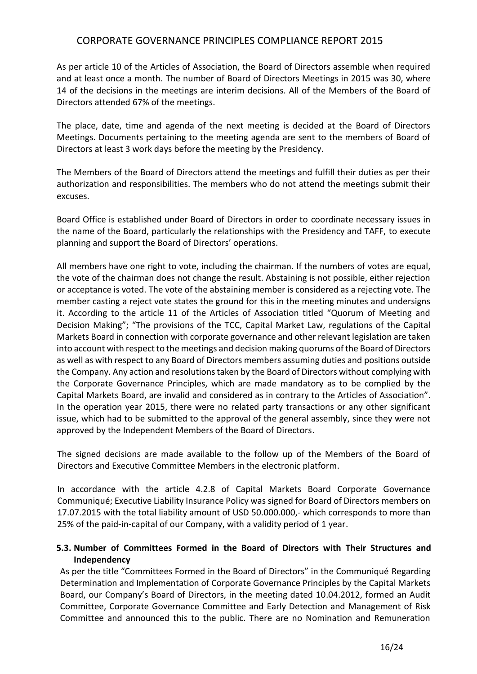As per article 10 of the Articles of Association, the Board of Directors assemble when required and at least once a month. The number of Board of Directors Meetings in 2015 was 30, where 14 of the decisions in the meetings are interim decisions. All of the Members of the Board of Directors attended 67% of the meetings.

The place, date, time and agenda of the next meeting is decided at the Board of Directors Meetings. Documents pertaining to the meeting agenda are sent to the members of Board of Directors at least 3 work days before the meeting by the Presidency.

The Members of the Board of Directors attend the meetings and fulfill their duties as per their authorization and responsibilities. The members who do not attend the meetings submit their excuses.

Board Office is established under Board of Directors in order to coordinate necessary issues in the name of the Board, particularly the relationships with the Presidency and TAFF, to execute planning and support the Board of Directors' operations.

All members have one right to vote, including the chairman. If the numbers of votes are equal, the vote of the chairman does not change the result. Abstaining is not possible, either rejection or acceptance is voted. The vote of the abstaining member is considered as a rejecting vote. The member casting a reject vote states the ground for this in the meeting minutes and undersigns it. According to the article 11 of the Articles of Association titled "Quorum of Meeting and Decision Making"; "The provisions of the TCC, Capital Market Law, regulations of the Capital Markets Board in connection with corporate governance and other relevant legislation are taken into account with respect to the meetings and decision making quorums of the Board of Directors as well as with respect to any Board of Directors members assuming duties and positions outside the Company. Any action and resolutions taken by the Board of Directors without complying with the Corporate Governance Principles, which are made mandatory as to be complied by the Capital Markets Board, are invalid and considered as in contrary to the Articles of Association". In the operation year 2015, there were no related party transactions or any other significant issue, which had to be submitted to the approval of the general assembly, since they were not approved by the Independent Members of the Board of Directors.

The signed decisions are made available to the follow up of the Members of the Board of Directors and Executive Committee Members in the electronic platform.

In accordance with the article 4.2.8 of Capital Markets Board Corporate Governance Communiqué; Executive Liability Insurance Policy was signed for Board of Directors members on 17.07.2015 with the total liability amount of USD 50.000.000,- which corresponds to more than 25% of the paid-in-capital of our Company, with a validity period of 1 year.

## **5.3. Number of Committees Formed in the Board of Directors with Their Structures and Independency**

As per the title "Committees Formed in the Board of Directors" in the Communiqué Regarding Determination and Implementation of Corporate Governance Principles by the Capital Markets Board, our Company's Board of Directors, in the meeting dated 10.04.2012, formed an Audit Committee, Corporate Governance Committee and Early Detection and Management of Risk Committee and announced this to the public. There are no Nomination and Remuneration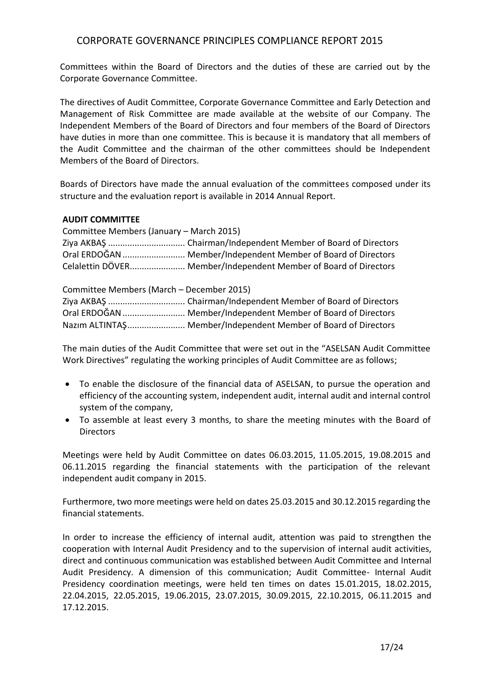Committees within the Board of Directors and the duties of these are carried out by the Corporate Governance Committee.

The directives of Audit Committee, Corporate Governance Committee and Early Detection and Management of Risk Committee are made available at the website of our Company. The Independent Members of the Board of Directors and four members of the Board of Directors have duties in more than one committee. This is because it is mandatory that all members of the Audit Committee and the chairman of the other committees should be Independent Members of the Board of Directors.

Boards of Directors have made the annual evaluation of the committees composed under its structure and the evaluation report is available in 2014 Annual Report.

### **AUDIT COMMITTEE**

| Committee Members (January – March 2015) |                                                                  |  |
|------------------------------------------|------------------------------------------------------------------|--|
|                                          |                                                                  |  |
|                                          | Oral ERDOĞAN  Member/Independent Member of Board of Directors    |  |
|                                          | Celalettin DÖVER Member/Independent Member of Board of Directors |  |

Committee Members (March – December 2015) Ziya AKBAŞ ................................ Chairman/Independent Member of Board of Directors Oral ERDOĞAN.......................... Member/Independent Member of Board of Directors Nazım ALTINTAŞ........................ Member/Independent Member of Board of Directors

The main duties of the Audit Committee that were set out in the "ASELSAN Audit Committee Work Directives" regulating the working principles of Audit Committee are as follows;

- To enable the disclosure of the financial data of ASELSAN, to pursue the operation and efficiency of the accounting system, independent audit, internal audit and internal control system of the company,
- To assemble at least every 3 months, to share the meeting minutes with the Board of **Directors**

Meetings were held by Audit Committee on dates 06.03.2015, 11.05.2015, 19.08.2015 and 06.11.2015 regarding the financial statements with the participation of the relevant independent audit company in 2015.

Furthermore, two more meetings were held on dates 25.03.2015 and 30.12.2015 regarding the financial statements.

In order to increase the efficiency of internal audit, attention was paid to strengthen the cooperation with Internal Audit Presidency and to the supervision of internal audit activities, direct and continuous communication was established between Audit Committee and Internal Audit Presidency. A dimension of this communication; Audit Committee- Internal Audit Presidency coordination meetings, were held ten times on dates 15.01.2015, 18.02.2015, 22.04.2015, 22.05.2015, 19.06.2015, 23.07.2015, 30.09.2015, 22.10.2015, 06.11.2015 and 17.12.2015.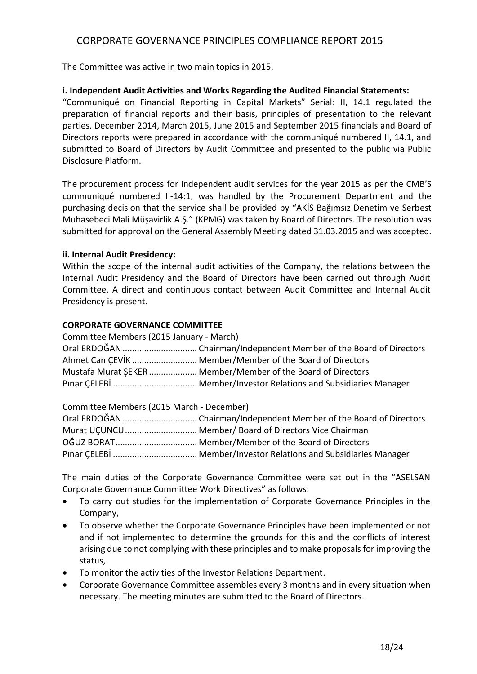The Committee was active in two main topics in 2015.

### **i. Independent Audit Activities and Works Regarding the Audited Financial Statements:**

"Communiqué on Financial Reporting in Capital Markets" Serial: II, 14.1 regulated the preparation of financial reports and their basis, principles of presentation to the relevant parties. December 2014, March 2015, June 2015 and September 2015 financials and Board of Directors reports were prepared in accordance with the communiqué numbered II, 14.1, and submitted to Board of Directors by Audit Committee and presented to the public via Public Disclosure Platform.

The procurement process for independent audit services for the year 2015 as per the CMB'S communiqué numbered II-14:1, was handled by the Procurement Department and the purchasing decision that the service shall be provided by "AKİS Bağımsız Denetim ve Serbest Muhasebeci Mali Müşavirlik A.Ş." (KPMG) was taken by Board of Directors. The resolution was submitted for approval on the General Assembly Meeting dated 31.03.2015 and was accepted.

### **ii. Internal Audit Presidency:**

Within the scope of the internal audit activities of the Company, the relations between the Internal Audit Presidency and the Board of Directors have been carried out through Audit Committee. A direct and continuous contact between Audit Committee and Internal Audit Presidency is present.

### **CORPORATE GOVERNANCE COMMITTEE**

| Committee Members (2015 January - March) |                                                              |  |  |  |
|------------------------------------------|--------------------------------------------------------------|--|--|--|
|                                          |                                                              |  |  |  |
|                                          | Ahmet Can CEVIK  Member/Member of the Board of Directors     |  |  |  |
|                                          | Mustafa Murat SEKER  Member/Member of the Board of Directors |  |  |  |
|                                          |                                                              |  |  |  |

Committee Members (2015 March - December)

| Murat ÜÇÜNCÜ Member/ Board of Directors Vice Chairman |
|-------------------------------------------------------|
|                                                       |
|                                                       |

The main duties of the Corporate Governance Committee were set out in the "ASELSAN Corporate Governance Committee Work Directives" as follows:

- To carry out studies for the implementation of Corporate Governance Principles in the Company,
- To observe whether the Corporate Governance Principles have been implemented or not and if not implemented to determine the grounds for this and the conflicts of interest arising due to not complying with these principles and to make proposals for improving the status,
- To monitor the activities of the Investor Relations Department.
- Corporate Governance Committee assembles every 3 months and in every situation when necessary. The meeting minutes are submitted to the Board of Directors.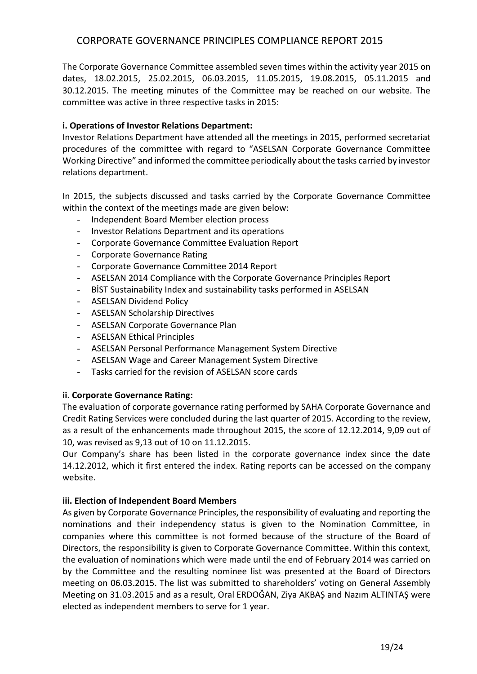The Corporate Governance Committee assembled seven times within the activity year 2015 on dates, 18.02.2015, 25.02.2015, 06.03.2015, 11.05.2015, 19.08.2015, 05.11.2015 and 30.12.2015. The meeting minutes of the Committee may be reached on our website. The committee was active in three respective tasks in 2015:

## **i. Operations of Investor Relations Department:**

Investor Relations Department have attended all the meetings in 2015, performed secretariat procedures of the committee with regard to "ASELSAN Corporate Governance Committee Working Directive" and informed the committee periodically about the tasks carried by investor relations department.

In 2015, the subjects discussed and tasks carried by the Corporate Governance Committee within the context of the meetings made are given below:

- Independent Board Member election process
- Investor Relations Department and its operations
- Corporate Governance Committee Evaluation Report
- Corporate Governance Rating
- Corporate Governance Committee 2014 Report
- ASELSAN 2014 Compliance with the Corporate Governance Principles Report
- BİST Sustainability Index and sustainability tasks performed in ASELSAN
- ASELSAN Dividend Policy
- ASELSAN Scholarship Directives
- ASELSAN Corporate Governance Plan
- ASELSAN Ethical Principles
- ASELSAN Personal Performance Management System Directive
- ASELSAN Wage and Career Management System Directive
- Tasks carried for the revision of ASELSAN score cards

### **ii. Corporate Governance Rating:**

The evaluation of corporate governance rating performed by SAHA Corporate Governance and Credit Rating Services were concluded during the last quarter of 2015. According to the review, as a result of the enhancements made throughout 2015, the score of 12.12.2014, 9,09 out of 10, was revised as 9,13 out of 10 on 11.12.2015.

Our Company's share has been listed in the corporate governance index since the date 14.12.2012, which it first entered the index. Rating reports can be accessed on the company website.

### **iii. Election of Independent Board Members**

As given by Corporate Governance Principles, the responsibility of evaluating and reporting the nominations and their independency status is given to the Nomination Committee, in companies where this committee is not formed because of the structure of the Board of Directors, the responsibility is given to Corporate Governance Committee. Within this context, the evaluation of nominations which were made until the end of February 2014 was carried on by the Committee and the resulting nominee list was presented at the Board of Directors meeting on 06.03.2015. The list was submitted to shareholders' voting on General Assembly Meeting on 31.03.2015 and as a result, Oral ERDOĞAN, Ziya AKBAŞ and Nazım ALTINTAŞ were elected as independent members to serve for 1 year.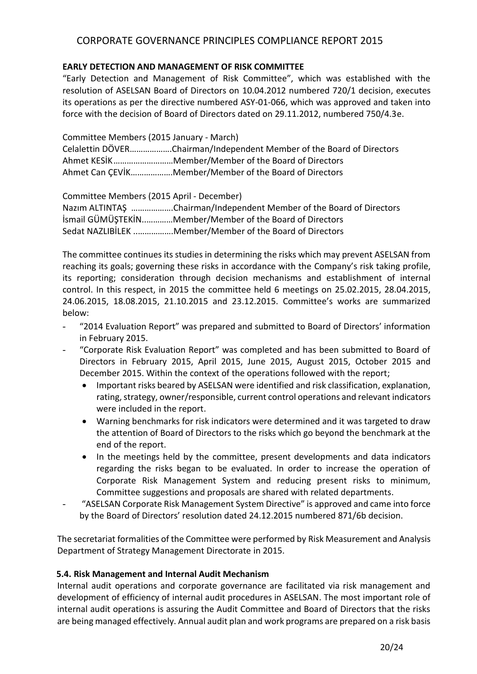## **EARLY DETECTION AND MANAGEMENT OF RISK COMMITTEE**

"Early Detection and Management of Risk Committee", which was established with the resolution of ASELSAN Board of Directors on 10.04.2012 numbered 720/1 decision, executes its operations as per the directive numbered ASY-01-066, which was approved and taken into force with the decision of Board of Directors dated on 29.11.2012, numbered 750/4.3e.

Committee Members (2015 January - March) Celalettin DÖVER……………….Chairman/Independent Member of the Board of Directors Ahmet KESİK………………………Member/Member of the Board of Directors Ahmet Can ÇEVİK……………….Member/Member of the Board of Directors

Committee Members (2015 April - December) Nazım ALTINTAŞ ……………….Chairman/Independent Member of the Board of Directors İsmail GÜMÜŞTEKİN..…………Member/Member of the Board of Directors Sedat NAZLIBİLEK ..…………….Member/Member of the Board of Directors

The committee continues its studies in determining the risks which may prevent ASELSAN from reaching its goals; governing these risks in accordance with the Company's risk taking profile, its reporting; consideration through decision mechanisms and establishment of internal control. In this respect, in 2015 the committee held 6 meetings on 25.02.2015, 28.04.2015, 24.06.2015, 18.08.2015, 21.10.2015 and 23.12.2015. Committee's works are summarized below:

- "2014 Evaluation Report" was prepared and submitted to Board of Directors' information in February 2015.
- "Corporate Risk Evaluation Report" was completed and has been submitted to Board of Directors in February 2015, April 2015, June 2015, August 2015, October 2015 and December 2015. Within the context of the operations followed with the report;
	- Important risks beared by ASELSAN were identified and risk classification, explanation, rating, strategy, owner/responsible, current control operations and relevant indicators were included in the report.
	- Warning benchmarks for risk indicators were determined and it was targeted to draw the attention of Board of Directors to the risks which go beyond the benchmark at the end of the report.
	- In the meetings held by the committee, present developments and data indicators regarding the risks began to be evaluated. In order to increase the operation of Corporate Risk Management System and reducing present risks to minimum, Committee suggestions and proposals are shared with related departments.
- "ASELSAN Corporate Risk Management System Directive" is approved and came into force by the Board of Directors' resolution dated 24.12.2015 numbered 871/6b decision.

The secretariat formalities of the Committee were performed by Risk Measurement and Analysis Department of Strategy Management Directorate in 2015.

## **5.4. Risk Management and Internal Audit Mechanism**

Internal audit operations and corporate governance are facilitated via risk management and development of efficiency of internal audit procedures in ASELSAN. The most important role of internal audit operations is assuring the Audit Committee and Board of Directors that the risks are being managed effectively. Annual audit plan and work programs are prepared on a risk basis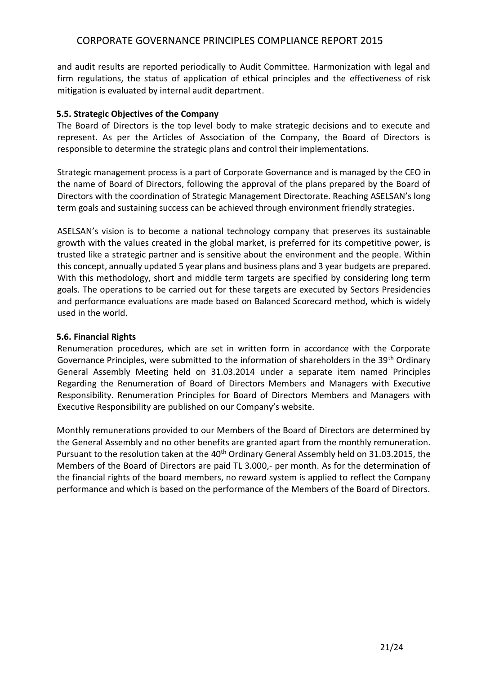and audit results are reported periodically to Audit Committee. Harmonization with legal and firm regulations, the status of application of ethical principles and the effectiveness of risk mitigation is evaluated by internal audit department.

### **5.5. Strategic Objectives of the Company**

The Board of Directors is the top level body to make strategic decisions and to execute and represent. As per the Articles of Association of the Company, the Board of Directors is responsible to determine the strategic plans and control their implementations.

Strategic management process is a part of Corporate Governance and is managed by the CEO in the name of Board of Directors, following the approval of the plans prepared by the Board of Directors with the coordination of Strategic Management Directorate. Reaching ASELSAN's long term goals and sustaining success can be achieved through environment friendly strategies.

ASELSAN's vision is to become a national technology company that preserves its sustainable growth with the values created in the global market, is preferred for its competitive power, is trusted like a strategic partner and is sensitive about the environment and the people. Within this concept, annually updated 5 year plans and business plans and 3 year budgets are prepared. With this methodology, short and middle term targets are specified by considering long term goals. The operations to be carried out for these targets are executed by Sectors Presidencies and performance evaluations are made based on Balanced Scorecard method, which is widely used in the world.

### **5.6. Financial Rights**

Renumeration procedures, which are set in written form in accordance with the Corporate Governance Principles, were submitted to the information of shareholders in the 39<sup>th</sup> Ordinary General Assembly Meeting held on 31.03.2014 under a separate item named Principles Regarding the Renumeration of Board of Directors Members and Managers with Executive Responsibility. Renumeration Principles for Board of Directors Members and Managers with Executive Responsibility are published on our Company's website.

Monthly remunerations provided to our Members of the Board of Directors are determined by the General Assembly and no other benefits are granted apart from the monthly remuneration. Pursuant to the resolution taken at the 40<sup>th</sup> Ordinary General Assembly held on 31.03.2015, the Members of the Board of Directors are paid TL 3.000,- per month. As for the determination of the financial rights of the board members, no reward system is applied to reflect the Company performance and which is based on the performance of the Members of the Board of Directors.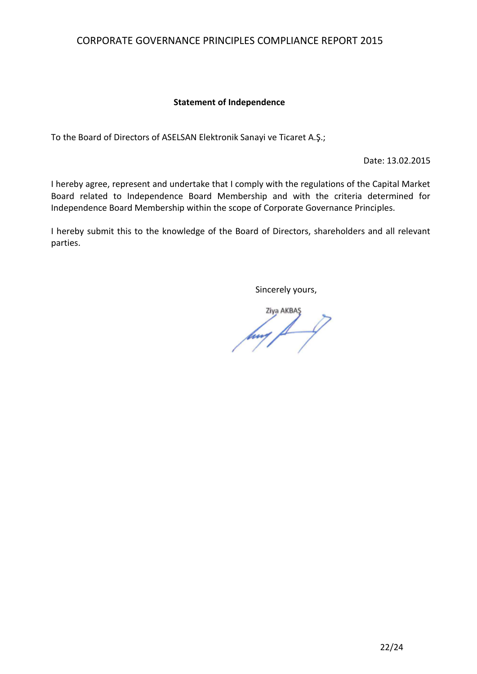### **Statement of Independence**

To the Board of Directors of ASELSAN Elektronik Sanayi ve Ticaret A.Ş.;

Date: 13.02.2015

I hereby agree, represent and undertake that I comply with the regulations of the Capital Market Board related to Independence Board Membership and with the criteria determined for Independence Board Membership within the scope of Corporate Governance Principles.

I hereby submit this to the knowledge of the Board of Directors, shareholders and all relevant parties.

Sincerely yours,

 $\frac{1}{\sqrt{2}}$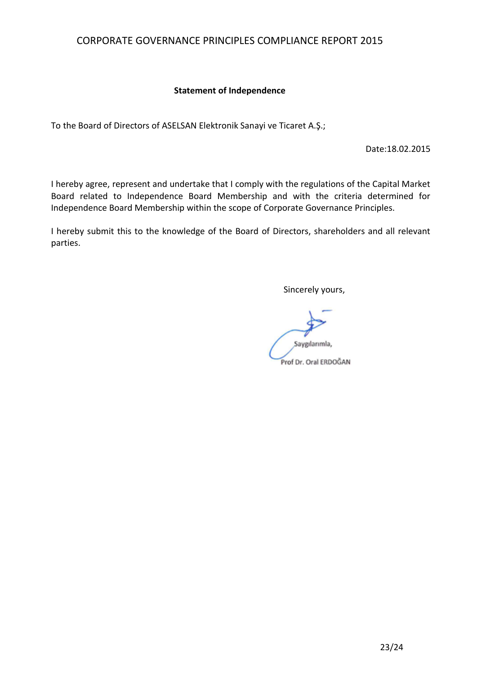### **Statement of Independence**

To the Board of Directors of ASELSAN Elektronik Sanayi ve Ticaret A.Ş.;

Date:18.02.2015

I hereby agree, represent and undertake that I comply with the regulations of the Capital Market Board related to Independence Board Membership and with the criteria determined for Independence Board Membership within the scope of Corporate Governance Principles.

I hereby submit this to the knowledge of the Board of Directors, shareholders and all relevant parties.

Sincerely yours,

Saygılarımla, Prof Dr. Oral ERDOĞAN